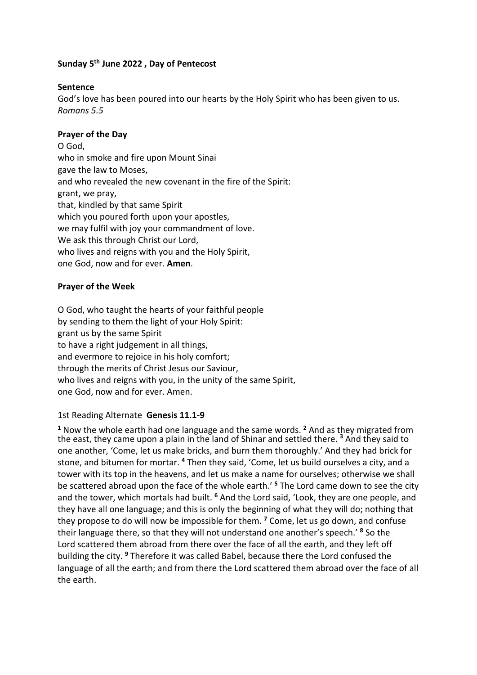# **Sunday 5 th June 2022 , Day of Pentecost**

#### **Sentence**

God's love has been poured into our hearts by the Holy Spirit who has been given to us. *Romans 5.5*

### **Prayer of the Day**

O God, who in smoke and fire upon Mount Sinai gave the law to Moses, and who revealed the new covenant in the fire of the Spirit: grant, we pray, that, kindled by that same Spirit which you poured forth upon your apostles, we may fulfil with joy your commandment of love. We ask this through Christ our Lord, who lives and reigns with you and the Holy Spirit. one God, now and for ever. **Amen**.

#### **Prayer of the Week**

O God, who taught the hearts of your faithful people by sending to them the light of your Holy Spirit: grant us by the same Spirit to have a right judgement in all things, and evermore to rejoice in his holy comfort; through the merits of Christ Jesus our Saviour, who lives and reigns with you, in the unity of the same Spirit, one God, now and for ever. Amen.

## 1st Reading Alternate **Genesis 11.1-9**

**<sup>1</sup>** Now the whole earth had one language and the same words. **<sup>2</sup>** And as they migrated from the east, they came upon a plain in the land of Shinar and settled there. **<sup>3</sup>** And they said to one another, 'Come, let us make bricks, and burn them thoroughly.' And they had brick for stone, and bitumen for mortar. **<sup>4</sup>** Then they said, 'Come, let us build ourselves a city, and a tower with its top in the heavens, and let us make a name for ourselves; otherwise we shall be scattered abroad upon the face of the whole earth.' **<sup>5</sup>** The Lord came down to see the city and the tower, which mortals had built. **<sup>6</sup>** And the Lord said, 'Look, they are one people, and they have all one language; and this is only the beginning of what they will do; nothing that they propose to do will now be impossible for them. **<sup>7</sup>** Come, let us go down, and confuse their language there, so that they will not understand one another's speech.' **<sup>8</sup>** So the Lord scattered them abroad from there over the face of all the earth, and they left off building the city. **<sup>9</sup>** Therefore it was called Babel, because there the Lord confused the language of all the earth; and from there the Lord scattered them abroad over the face of all the earth.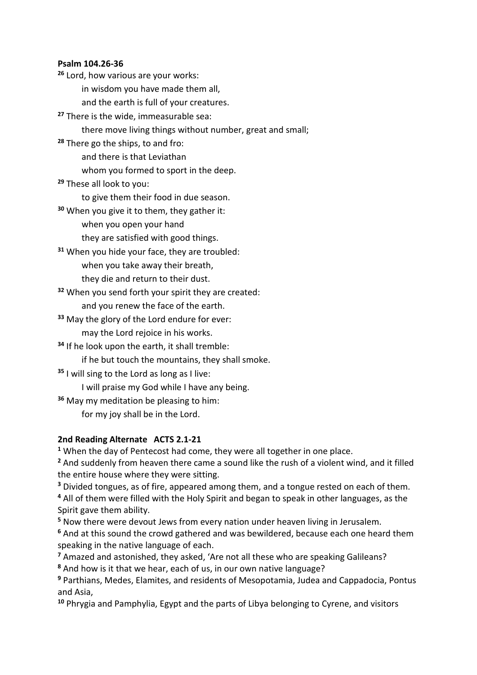#### **Psalm 104.26-36**

**<sup>26</sup>** Lord, how various are your works: in wisdom you have made them all,

and the earth is full of your creatures.

**<sup>27</sup>** There is the wide, immeasurable sea:

there move living things without number, great and small;

**<sup>28</sup>** There go the ships, to and fro:

and there is that Leviathan

whom you formed to sport in the deep.

**<sup>29</sup>** These all look to you:

to give them their food in due season.

- **<sup>30</sup>** When you give it to them, they gather it:
	- when you open your hand

they are satisfied with good things.

**<sup>31</sup>** When you hide your face, they are troubled:

when you take away their breath,

they die and return to their dust.

**<sup>32</sup>** When you send forth your spirit they are created:

and you renew the face of the earth.

**<sup>33</sup>** May the glory of the Lord endure for ever:

may the Lord rejoice in his works.

**<sup>34</sup>** If he look upon the earth, it shall tremble:

if he but touch the mountains, they shall smoke.

**<sup>35</sup>** I will sing to the Lord as long as I live:

I will praise my God while I have any being.

**<sup>36</sup>** May my meditation be pleasing to him:

for my joy shall be in the Lord.

## **2nd Reading Alternate ACTS 2.1-21**

**<sup>1</sup>** When the day of Pentecost had come, they were all together in one place.

**<sup>2</sup>** And suddenly from heaven there came a sound like the rush of a violent wind, and it filled the entire house where they were sitting.

**<sup>3</sup>** Divided tongues, as of fire, appeared among them, and a tongue rested on each of them.

**<sup>4</sup>** All of them were filled with the Holy Spirit and began to speak in other languages, as the Spirit gave them ability.

**<sup>5</sup>** Now there were devout Jews from every nation under heaven living in Jerusalem.

**<sup>6</sup>** And at this sound the crowd gathered and was bewildered, because each one heard them speaking in the native language of each.

**<sup>7</sup>** Amazed and astonished, they asked, 'Are not all these who are speaking Galileans?

**<sup>8</sup>** And how is it that we hear, each of us, in our own native language?

**<sup>9</sup>** Parthians, Medes, Elamites, and residents of Mesopotamia, Judea and Cappadocia, Pontus and Asia,

**<sup>10</sup>** Phrygia and Pamphylia, Egypt and the parts of Libya belonging to Cyrene, and visitors